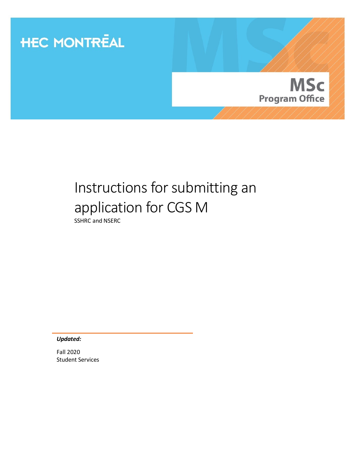

# Instructions for submitting an application for CGS M

SSHRC and NSERC

*Updated:*

Fall 2020 Student Services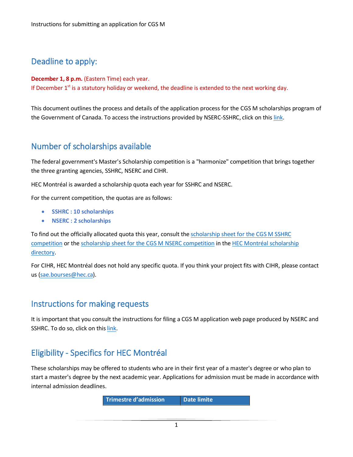# Deadline to apply:

**December 1, 8 p.m.** (Eastern Time) each year. If December  $1<sup>st</sup>$  is a statutory holiday or weekend, the deadline is extended to the next working day.

This document outlines the process and details of the application process for the CGS M scholarships program of the Government of Canada. To access the instructions provided by NSERC-SSHRC, click on this [link.](http://www.nserc-crsng.gc.ca/ResearchPortal-PortailDeRecherche/Instructions-Instructions/CGS_M-BESC_M_eng.asp)

# Number of scholarships available

The federal government's Master's Scholarship competition is a "harmonize" competition that brings together the three granting agencies, SSHRC, NSERC and CIHR.

HEC Montréal is awarded a scholarship quota each year for SSHRC and NSERC.

For the current competition, the quotas are as follows:

- **SSHRC : 10 scholarships**
- **NSERC : 2 scholarships**

To find out the officially allocated quota this year, consult the [scholarship sheet for the CGS M SSHRC](https://inscription.hec.ca/rep_bourses/app/bourse/322?lang=en)  [competition](https://inscription.hec.ca/rep_bourses/app/bourse/322?lang=en) or th[e scholarship sheet for the CGS M](https://inscription.hec.ca/rep_bourses/app/bourse/323?lang=en) NSERC competition in the [HEC Montréal scholarship](https://inscription.hec.ca/rep_bourses/app/bourses?lang=en)  [directory.](https://inscription.hec.ca/rep_bourses/app/bourses?lang=en)

For CIHR, HEC Montréal does not hold any specific quota. If you think your project fits with CIHR, please contact us [\(sae.bourses@hec.ca\)](mailto:sae.bourses@hec.ca).

# Instructions for making requests

It is important that you consult the instructions for filing a CGS M application web page produced by NSERC and SSHRC. To do so, click on this [link.](https://www.nserc-crsng.gc.ca/ResearchPortal-PortailDeRecherche/Instructions-Instructions/CGS_M-BESC_M_eng.asp)

# Eligibility - Specifics for HEC Montréal

These scholarships may be offered to students who are in their first year of a master's degree or who plan to start a master's degree by the next academic year. Applications for admission must be made in accordance with internal admission deadlines.

**Trimestre d'admission Date limite**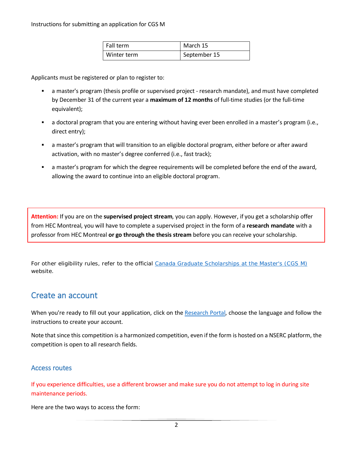| Fall term   | March 15     |  |  |
|-------------|--------------|--|--|
| Winter term | September 15 |  |  |

Applicants must be registered or plan to register to:

- a master's program (thesis profile or supervised project research mandate), and must have completed by December 31 of the current year a **maximum of 12 months** of full-time studies (or the full-time equivalent);
- a doctoral program that you are entering without having ever been enrolled in a master's program (i.e., direct entry);
- a master's program that will transition to an eligible doctoral program, either before or after award activation, with no master's degree conferred (i.e., fast track);
- a master's program for which the degree requirements will be completed before the end of the award, allowing the award to continue into an eligible doctoral program.

**Attention:** If you are on the **supervised project stream**, you can apply. However, if you get a scholarship offer from HEC Montreal, you will have to complete a supervised project in the form of a **research mandate** with a professor from HEC Montreal **or go through the thesis stream** before you can receive your scholarship.

For other eligibility rules, refer to the official [Canada Graduate Scholarships at the Master's \(CGS M\)](https://www.nserc-crsng.gc.ca/Students-Etudiants/PG-CS/CGSM-BESCM_eng.asp) website.

# Create an account

When you're ready to fill out your application, click on th[e Research Portal,](https://portal-portail.nserc-crsng.gc.ca/) choose the language and follow the instructions to create your account.

Note that since this competition is a harmonized competition, even if the form is hosted on a NSERC platform, the competition is open to all research fields.

## Access routes

If you experience difficulties, use a different browser and make sure you do not attempt to log in during site maintenance periods.

Here are the two ways to access the form: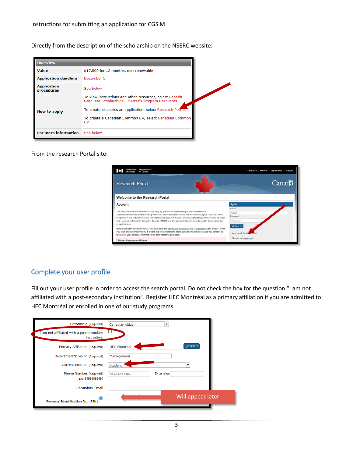Directly from the description of the scholarship on the NSERC website:

| <b>Overview</b>                               |                                                                                                                                                                                                                                                |  |  |
|-----------------------------------------------|------------------------------------------------------------------------------------------------------------------------------------------------------------------------------------------------------------------------------------------------|--|--|
| <b>Value</b>                                  | \$17,500 for 12 months, non-renewable                                                                                                                                                                                                          |  |  |
| <b>Application deadline</b>                   | December 1                                                                                                                                                                                                                                     |  |  |
| <b>Application</b><br>See below<br>procedures |                                                                                                                                                                                                                                                |  |  |
| How to apply                                  | To view instructions and other resources, select Canada<br>Graduate Scholarships - Master's Program Resources.<br>To create or access an application, select Research Portal.<br>To create a Canadian Common CV, select Canadian Common<br>CV. |  |  |
| <b>For more information</b>                   | See below                                                                                                                                                                                                                                      |  |  |

From the research Portal site:

| Gouvernement<br>du Canada                                                                                                                                                                                                 | Canada.ca   Services   Departments   Français |  |  |  |
|---------------------------------------------------------------------------------------------------------------------------------------------------------------------------------------------------------------------------|-----------------------------------------------|--|--|--|
| <b>Research Portal</b>                                                                                                                                                                                                    | Canadä                                        |  |  |  |
| Welcome to the Research Portal                                                                                                                                                                                            |                                               |  |  |  |
| Account                                                                                                                                                                                                                   | Sign In                                       |  |  |  |
|                                                                                                                                                                                                                           | Email:                                        |  |  |  |
| The Research Portal is intended for use only by individuals participating in the preparation of                                                                                                                           | Email                                         |  |  |  |
| applications/nominations for funding from the Canada Research Chairs, the Research Support Fund, and other<br>programs of the Natural Sciences and Engineering Research Council of Canada (NSERC) and the Social Sciences | Password:                                     |  |  |  |
| and Humanities Research Council of Canada (SSHRC), in the administration of awards, and in the merit review                                                                                                               | Password                                      |  |  |  |
| of applications.                                                                                                                                                                                                          | a Sign In                                     |  |  |  |
| Before using the Research Portal, you must read the Terms and conditions and Transparency (see below). When                                                                                                               |                                               |  |  |  |
| you login and use this system, it means that you understand these policies and conditions and you consent to<br>the use of your personal information for administrative purposes.                                         | New here? Cre                                 |  |  |  |
| Notice: Maintenance Window                                                                                                                                                                                                | I forgot my password.                         |  |  |  |

## Complete your user profile

Fill out your user profile in order to access the search portal. Do not check the box for the question "I am not affiliated with a post-secondary institution". Register HEC Montréal as a primary affiliation if you are admitted to HEC Montréal or enrolled in one of our study programs.

| Citizenship (Required)                                   | Canadian citizen<br>▼   |                          |
|----------------------------------------------------------|-------------------------|--------------------------|
| I am not affiliated with a postsecondary<br>institution. |                         |                          |
| Primary Affiliation (Required)                           | <b>HEC Montréal</b>     | Select                   |
| Department/Division (Required)                           | Management              |                          |
| Current Position (Required)                              | Student                 | $\overline{\phantom{a}}$ |
| Phone Number (Required)<br>(e.g. 9999999999)             | Extension<br>5143401296 |                          |
| Secondary Email                                          |                         |                          |
| $\left( 2\right)$<br>Personal Identification No. (PIN)   |                         | Will appear later        |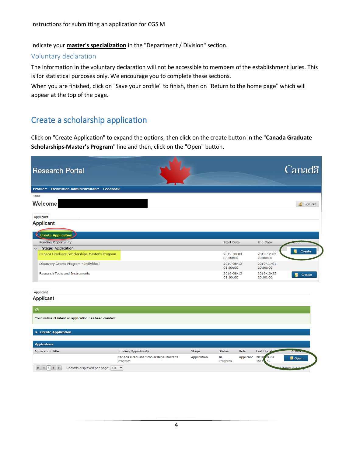Indicate your **master's specialization** in the "Department / Division" section.

#### Voluntary declaration

The information in the voluntary declaration will not be accessible to members of the establishment juries. This is for statistical purposes only. We encourage you to complete these sections.

When you are finished, click on "Save your profile" to finish, then on "Return to the home page" which will appear at the top of the page.

# Create a scholarship application

Click on "Create Application" to expand the options, then click on the create button in the "**Canada Graduate Scholarships-Master's Program**" line and then, click on the "Open" button.

| <b>Research Portal</b>                                                   |                                                  |             |                        |                |                         | <b>Canadä</b>            |  |
|--------------------------------------------------------------------------|--------------------------------------------------|-------------|------------------------|----------------|-------------------------|--------------------------|--|
| Profile -<br><b>Institution Administration v Feedback</b>                |                                                  |             |                        |                |                         |                          |  |
| Home                                                                     |                                                  |             |                        |                |                         |                          |  |
| <b>Welcome</b>                                                           |                                                  |             |                        |                |                         | Sign out                 |  |
| Applicant                                                                |                                                  |             |                        |                |                         |                          |  |
| <b>Applicant</b>                                                         |                                                  |             |                        |                |                         |                          |  |
| <b>Create Application</b>                                                |                                                  |             |                        |                |                         |                          |  |
| Funding Opportunity                                                      |                                                  |             | Start Date             |                | End Date                | $\overline{ }$           |  |
| Stage: Application<br>$\checkmark$                                       |                                                  |             |                        |                |                         |                          |  |
| Canada Graduate Scholarships-Master's Program                            |                                                  |             | 2019-09-04<br>08:00:00 |                | 2019-12-02<br>20:00:00  | $\blacksquare$<br>Create |  |
| Discovery Grants Program - Individual                                    |                                                  |             | 2019-08-12<br>08:00:00 |                | 2019-11-01<br>20:00:00  |                          |  |
| <b>Research Tools and Instruments</b>                                    |                                                  |             | 2019-08-12<br>08:00:00 |                | 2019-10-25<br>20:00:00  | Create                   |  |
| Applicant                                                                |                                                  |             |                        |                |                         |                          |  |
| <b>Applicant</b>                                                         |                                                  |             |                        |                |                         |                          |  |
|                                                                          |                                                  |             |                        |                |                         |                          |  |
| $\circledcirc$<br>Your notice of intent or application has been created. |                                                  |             |                        |                |                         |                          |  |
| ▶ Create Application                                                     |                                                  |             |                        |                |                         |                          |  |
| <b>Applications</b>                                                      |                                                  |             |                        |                |                         |                          |  |
| Application Title                                                        | Funding Opportunity                              | Stage       | <b>Status</b>          | Role           | Last Update             | <b>ACHOT</b>             |  |
|                                                                          | Canada Graduate Scholarships-Master's<br>Program | Application | In<br>Progress         | Applicant 2018 | $09 - 04$<br>15:4<br>40 | <b>I</b> Open            |  |
| Records displayed per page: 10 ▼                                         |                                                  |             |                        |                |                         | items in 1               |  |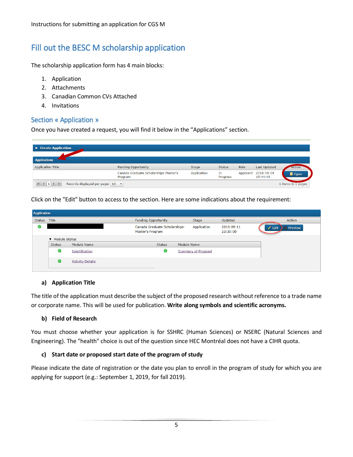# Fill out the BESC M scholarship application

The scholarship application form has 4 main blocks:

- 1. Application
- 2. Attachments
- 3. Canadian Common CVs Attached
- 4. Invitations

## Section « Application »

Once you have created a request, you will find it below in the "Applications" section.

| ▶ Create Application             |                                                  |             |                |           |                        |                    |
|----------------------------------|--------------------------------------------------|-------------|----------------|-----------|------------------------|--------------------|
| <b>Applications</b>              |                                                  |             |                |           |                        |                    |
| Application Title                | Funding Opportunity                              | Stage       | Status         | Role      | Last Updated           | Action             |
|                                  | Canada Graduate Scholarships-Master's<br>Program | Application | In<br>Progress | Applicant | 2018-09-04<br>15:44:40 | <b>ib</b> Open     |
| Records displayed per page: 10 ▼ |                                                  |             |                |           |                        | 1 items in 1 pages |

Click on the "Edit" button to access to the section. Here are some indications about the requirement:

| <b>Application</b> |                 |                         |                                                   |                            |                        |                             |  |  |  |
|--------------------|-----------------|-------------------------|---------------------------------------------------|----------------------------|------------------------|-----------------------------|--|--|--|
| Status Title       |                 |                         | Funding Opportunity                               | Stage                      | Updated                | Action                      |  |  |  |
| $\omega$           |                 |                         | Canada Graduate Scholarships-<br>Master's Program | Application                | 2019-09-11<br>22:30:00 | If Preview<br>$\angle$ Edit |  |  |  |
|                    | ▼ Module Status |                         |                                                   |                            |                        |                             |  |  |  |
|                    | Status          | Module Name             | Status                                            | Module Name                |                        |                             |  |  |  |
|                    | Ø               | Identification          | Ø                                                 | <b>Summary of Proposal</b> |                        |                             |  |  |  |
|                    | Ø               | <b>Activity Details</b> |                                                   |                            |                        |                             |  |  |  |

#### **a) Application Title**

The title of the application must describe the subject of the proposed research without reference to a trade name or corporate name. This will be used for publication. **Write along symbols and scientific acronyms.**

#### **b) Field of Research**

You must choose whether your application is for SSHRC (Human Sciences) or NSERC (Natural Sciences and Engineering). The "health" choice is out of the question since HEC Montréal does not have a CIHR quota.

#### **c) Start date or proposed start date of the program of study**

Please indicate the date of registration or the date you plan to enroll in the program of study for which you are applying for support (e.g.: September 1, 2019, for fall 2019).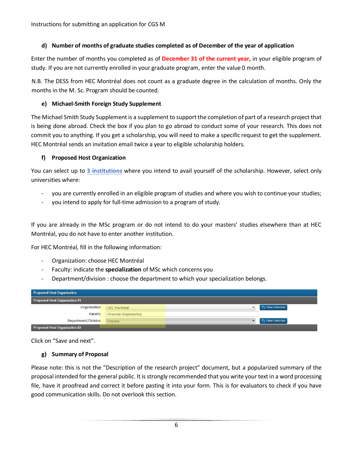Instructions for submitting an application for CGS M

#### **d) Number of months of graduate studies completed as of December of the year of application**

Enter the number of months you completed as of **December 31 of the current year,** in your eligible program of study. If you are not currently enrolled in your graduate program, enter the value 0 month.

N.B. The DESS from HEC Montréal does not count as a graduate degree in the calculation of months. Only the months in the M. Sc. Program should be counted.

#### **e) Michael-Smith Foreign Study Supplement**

The Michael Smith Study Supplement is a supplement to support the completion of part of a research project that is being done abroad. Check the box if you plan to go abroad to conduct some of your research. This does not commit you to anything. If you get a scholarship, you will need to make a specific request to get the supplement. HEC Montréal sends an invitation email twice a year to eligible scholarship holders.

#### **f) Proposed Host Organization**

You can select up to **3 institutions** where you intend to avail yourself of the scholarship. However, select only universities where:

- you are currently enrolled in an eligible program of studies and where you wish to continue your studies;
- you intend to apply for full-time admission to a program of study.

If you are already in the MSc program or do not intend to do your masters' studies elsewhere than at HEC Montréal, you do not have to enter another institution.

For HEC Montréal, fill in the following information:

- Organization: choose HEC Montréal
- Faculty: indicate the **specialization** of MSc which concerns you
- Department/division : choose the department to which your specialization belongs.

| <b>Proposed Host Organization</b> |                              |  |                 |  |  |  |  |
|-----------------------------------|------------------------------|--|-----------------|--|--|--|--|
| Proposed Host Organization #1     |                              |  |                 |  |  |  |  |
| Organization                      | <b>HEC Montréal</b>          |  | Clear Selection |  |  |  |  |
| Faculty                           | <b>Financial Engineering</b> |  |                 |  |  |  |  |
| Department/Division               | Finance                      |  | Clear Selection |  |  |  |  |
| Proposed Host Organization #2     |                              |  |                 |  |  |  |  |

Click on "Save and next".

#### **g) Summary of Proposal**

Please note: this is not the "Description of the research project" document, but a popularized summary of the proposal intended for the general public. It is strongly recommended that you write your text in a word processing file, have it proofread and correct it before pasting it into your form. This is for evaluators to check if you have good communication skills. Do not overlook this section.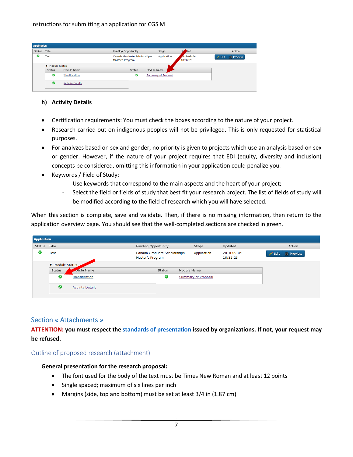|        | <b>Application</b> |                         |                                                   |                            |                             |                                   |  |  |  |  |
|--------|--------------------|-------------------------|---------------------------------------------------|----------------------------|-----------------------------|-----------------------------------|--|--|--|--|
| Status | Title              |                         | Funding Opportunity                               | Stage                      | Up<br>ated                  | Action                            |  |  |  |  |
| ☑      | Test               |                         | Canada Graduate Scholarships-<br>Master's Program | Application                | $018 - 09 - 04$<br>18:32:23 | <b>A</b> Preview<br>$\angle$ Edit |  |  |  |  |
|        | ▼ Module Status    |                         |                                                   |                            |                             |                                   |  |  |  |  |
|        | <b>Status</b>      | Module Name             | <b>Status</b>                                     | Module Name                |                             |                                   |  |  |  |  |
|        | ◙                  | Identification          | Ø                                                 | <b>Summary of Proposal</b> |                             |                                   |  |  |  |  |
|        | ◉                  | <b>Activity Details</b> |                                                   |                            |                             |                                   |  |  |  |  |

#### **h) Activity Details**

- Certification requirements: You must check the boxes according to the nature of your project.
- Research carried out on indigenous peoples will not be privileged. This is only requested for statistical purposes.
- For analyzes based on sex and gender, no priority is given to projects which use an analysis based on sex or gender. However, if the nature of your project requires that EDI (equity, diversity and inclusion) concepts be considered, omitting this information in your application could penalize you.
- Keywords / Field of Study:
	- Use keywords that correspond to the main aspects and the heart of your project;
	- Select the field or fields of study that best fit your research project. The list of fields of study will be modified according to the field of research which you will have selected.

When this section is complete, save and validate. Then, if there is no missing information, then return to the application overview page. You should see that the well-completed sections are checked in green.

| <b>Application</b> |                 |                         |                                                   |                            |                        |                                    |
|--------------------|-----------------|-------------------------|---------------------------------------------------|----------------------------|------------------------|------------------------------------|
| Status             | Title           |                         | Funding Opportunity                               | Stage                      | Updated                | Action                             |
| v.                 | <b>Test</b>     |                         | Canada Graduate Scholarships-<br>Master's Program | Application                | 2018-09-04<br>18:32:23 | <b>Of Preview</b><br>$\angle$ Edit |
|                    | ▼ Module Status |                         |                                                   |                            |                        |                                    |
|                    | Status          | odule Name              | <b>Status</b>                                     | Module Name                |                        |                                    |
|                    | Ø               | Identification          | $\bullet$                                         | <b>Summary of Proposal</b> |                        |                                    |
|                    | ◙               | <b>Activity Details</b> |                                                   |                            |                        |                                    |
|                    |                 |                         |                                                   |                            |                        |                                    |

#### Section « Attachments »

**ATTENTION: you must respect the [standards of presentation](http://www.nserc-crsng.gc.ca/ResearchPortal-PortailDeRecherche/standards_eng.asp) issued by organizations. If not, your request may be refused.**

#### Outline of proposed research (attachment)

#### **General presentation for the research proposal:**

- The font used for the body of the text must be Times New Roman and at least 12 points
- Single spaced; maximum of six lines per inch
- Margins (side, top and bottom) must be set at least 3/4 in (1.87 cm)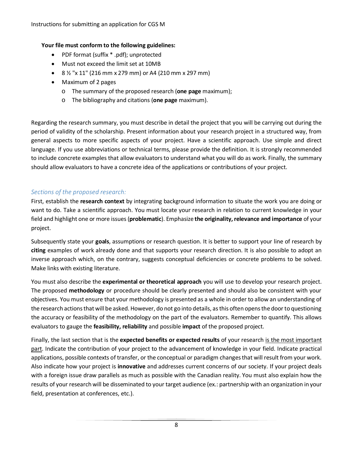Instructions for submitting an application for CGS M

#### **Your file must conform to the following guidelines:**

- PDF format (suffix \* .pdf); unprotected
- Must not exceed the limit set at 10MB
- 8 ½ "x 11" (216 mm x 279 mm) or A4 (210 mm x 297 mm)
- Maximum of 2 pages
	- o The summary of the proposed research (**one page** maximum);
	- o The bibliography and citations (**one page** maximum).

Regarding the research summary, you must describe in detail the project that you will be carrying out during the period of validity of the scholarship. Present information about your research project in a structured way, from general aspects to more specific aspects of your project. Have a scientific approach. Use simple and direct language. If you use abbreviations or technical terms, please provide the definition. It is strongly recommended to include concrete examples that allow evaluators to understand what you will do as work. Finally, the summary should allow evaluators to have a concrete idea of the applications or contributions of your project.

#### *Sections of the proposed research:*

First, establish the **research context** by integrating background information to situate the work you are doing or want to do. Take a scientific approach. You must locate your research in relation to current knowledge in your field and highlight one or more issues (**problematic**). Emphasize **the originality, relevance and importance** of your project.

Subsequently state your **goals**, assumptions or research question. It is better to support your line of research by **citing** examples of work already done and that supports your research direction. It is also possible to adopt an inverse approach which, on the contrary, suggests conceptual deficiencies or concrete problems to be solved. Make links with existing literature.

You must also describe the **experimental or theoretical approach** you will use to develop your research project. The proposed **methodology** or procedure should be clearly presented and should also be consistent with your objectives. You must ensure that your methodology is presented as a whole in order to allow an understanding of the research actions that will be asked. However, do not go into details, as this often opens the door to questioning the accuracy or feasibility of the methodology on the part of the evaluators. Remember to quantify. This allows evaluators to gauge the **feasibility, reliability** and possible **impact** of the proposed project.

Finally, the last section that is the **expected benefits or expected results** of your research is the most important part. Indicate the contribution of your project to the advancement of knowledge in your field. Indicate practical applications, possible contexts of transfer, or the conceptual or paradigm changes that will result from your work. Also indicate how your project is **innovative** and addresses current concerns of our society. If your project deals with a foreign issue draw parallels as much as possible with the Canadian reality. You must also explain how the results of your research will be disseminated to your target audience (ex.: partnership with an organization in your field, presentation at conferences, etc.).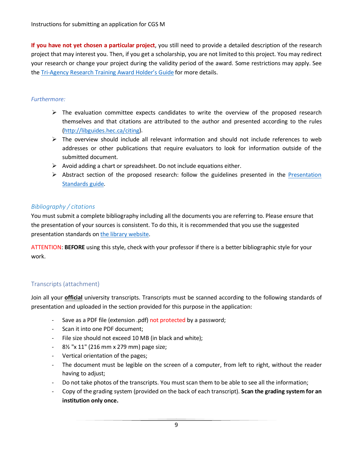**If you have not yet chosen a particular project**, you still need to provide a detailed description of the research project that may interest you. Then, if you get a scholarship, you are not limited to this project. You may redirect your research or change your project during the validity period of the award. Some restrictions may apply. See the [Tri-Agency Research Training Award Holder's Guide](http://www.nserc-crsng.gc.ca/Students-Etudiants/Guides-Guides/TriRTA-TriBFR_eng.asp) for more details.

#### *Furthermore:*

- $\triangleright$  The evaluation committee expects candidates to write the overview of the proposed research themselves and that citations are attributed to the author and presented according to the rules [\(http://libguides.hec.ca/citing\)](http://libguides.hec.ca/citing).
- $\triangleright$  The overview should include all relevant information and should not include references to web addresses or other publications that require evaluators to look for information outside of the submitted document.
- $\triangleright$  Avoid adding a chart or spreadsheet. Do not include equations either.
- $\triangleright$  Abstract section of the proposed research: follow the guidelines presented in the Presentation [Standards guide.](http://www.nserc-crsng.gc.ca/ResearchPortal-PortailDeRecherche/Instructions-Instructions/CGS_M-BESC_M_eng.asp#presentation_standards)

## *Bibliography / citations*

You must submit a complete bibliography including all the documents you are referring to. Please ensure that the presentation of your sources is consistent. To do this, it is recommended that you use the suggested presentation standards o[n the library website.](http://libguides.hec.ca/citing)

ATTENTION: **BEFORE** using this style, check with your professor if there is a better bibliographic style for your work.

# Transcripts (attachment)

Join all your **official** university transcripts. Transcripts must be scanned according to the following standards of presentation and uploaded in the section provided for this purpose in the application:

- Save as a PDF file (extension .pdf) not protected by a password;
- Scan it into one PDF document;
- File size should not exceed 10 MB (in black and white);
- 8½ "x 11" (216 mm x 279 mm) page size;
- Vertical orientation of the pages;
- The document must be legible on the screen of a computer, from left to right, without the reader having to adjust;
- Do not take photos of the transcripts. You must scan them to be able to see all the information;
- Copy of the grading system (provided on the back of each transcript). **Scan the grading system for an institution only once.**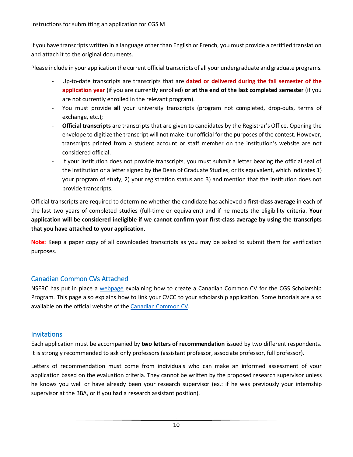If you have transcripts written in a language other than English or French, you must provide a certified translation and attach it to the original documents.

Please include in your application the current official transcripts of all your undergraduate and graduate programs.

- Up-to-date transcripts are transcripts that are **dated or delivered during the fall semester of the application year** (if you are currently enrolled) **or at the end of the last completed semester** (if you are not currently enrolled in the relevant program).
- You must provide **all** your university transcripts (program not completed, drop-outs, terms of exchange, etc.);
- **Official transcripts** are transcripts that are given to candidates by the Registrar's Office. Opening the envelope to digitize the transcript will not make it unofficial for the purposes of the contest. However, transcripts printed from a student account or staff member on the institution's website are not considered official.
- If your institution does not provide transcripts, you must submit a letter bearing the official seal of the institution or a letter signed by the Dean of Graduate Studies, or its equivalent, which indicates 1) your program of study, 2) your registration status and 3) and mention that the institution does not provide transcripts.

Official transcripts are required to determine whether the candidate has achieved a **first-class average** in each of the last two years of completed studies (full-time or equivalent) and if he meets the eligibility criteria. **Your application will be considered ineligible if we cannot confirm your first-class average by using the transcripts that you have attached to your application.**

**Note:** Keep a paper copy of all downloaded transcripts as you may be asked to submit them for verification purposes.

# Canadian Common CVs Attached

NSERC has put in place a [webpage](http://www.nserc-crsng.gc.ca/Students-Etudiants/CCV_CGSM-CVC_BESCM_eng.asp) explaining how to create a Canadian Common CV for the CGS Scholarship Program. This page also explains how to link your CVCC to your scholarship application. Some tutorials are also available on the official website of th[e Canadian Common CV.](https://ccv-cvc.ca/indexresearcher-eng.frm)

## **Invitations**

Each application must be accompanied by **two letters of recommendation** issued by two different respondents. It is strongly recommended to ask only professors (assistant professor, associate professor, full professor).

Letters of recommendation must come from individuals who can make an informed assessment of your application based on the evaluation criteria. They cannot be written by the proposed research supervisor unless he knows you well or have already been your research supervisor (ex.: if he was previously your internship supervisor at the BBA, or if you had a research assistant position).